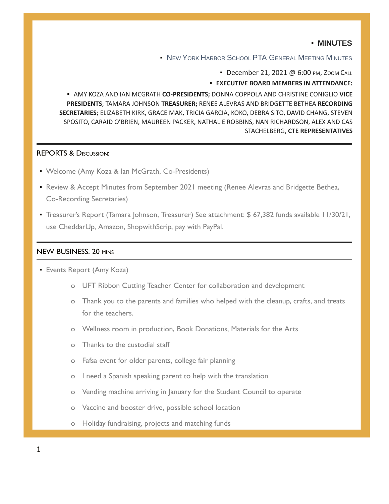### ▪ **MINUTES**

**.** NEW YORK HARBOR SCHOOL PTA GENERAL MEETING MINUTES

• December 21, 2021 @ 6:00 PM, ZOOM CALL

#### ▪ **EXECUTIVE BOARD MEMBERS IN ATTENDANCE:**

**E AMY KOZA AND IAN MCGRATH CO-PRESIDENTS; DONNA COPPOLA AND CHRISTINE CONIGLIO VICE PRESIDENTS**; TAMARA JOHNSON **TREASURER;** RENEE ALEVRAS AND BRIDGETTE BETHEA **RECORDING SECRETARIES**; ELIZABETH KIRK, GRACE MAK, TRICIA GARCIA, KOKO, DEBRA SITO, DAVID CHANG, STEVEN SPOSITO, CARAID O'BRIEN, MAUREEN PACKER, NATHALIE ROBBINS, NAN RICHARDSON, ALEX AND CAS STACHELBERG, **CTE REPRESENTATIVES**

### REPORTS & DISCUSSION:

- **Welcome (Amy Koza & Ian McGrath, Co-Presidents)**
- **Review & Accept Minutes from September 2021 meeting (Renee Alevras and Bridgette Bethea,** Co-Recording Secretaries)
- Treasurer's Report (Tamara Johnson, Treasurer) See attachment: \$ 67,382 funds available 11/30/21, use CheddarUp, Amazon, ShopwithScrip, pay with PayPal.

## NEW BUSINESS: 20 MINS

- **Events Report (Amy Koza)** 
	- o UFT Ribbon Cutting Teacher Center for collaboration and development
	- o Thank you to the parents and families who helped with the cleanup, crafts, and treats for the teachers.
	- o Wellness room in production, Book Donations, Materials for the Arts
	- o Thanks to the custodial staff
	- o Fafsa event for older parents, college fair planning
	- o I need a Spanish speaking parent to help with the translation
	- o Vending machine arriving in January for the Student Council to operate
	- o Vaccine and booster drive, possible school location
	- o Holiday fundraising, projects and matching funds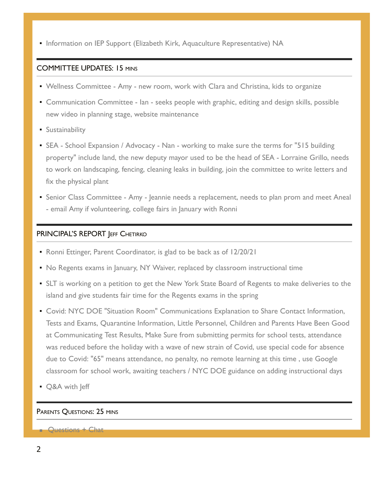**· Information on IEP Support (Elizabeth Kirk, Aquaculture Representative) NA** 

### COMMITTEE UPDATES: 15 MINS

- **Wellness Committee Amy new room, work with Clara and Christina, kids to organize**
- **Communication Committee Ian seeks people with graphic, editing and design skills, possible** new video in planning stage, website maintenance
- **E** Sustainability
- SEA School Expansion / Advocacy Nan working to make sure the terms for "515 building property" include land, the new deputy mayor used to be the head of SEA - Lorraine Grillo, needs to work on landscaping, fencing, cleaning leaks in building, join the committee to write letters and fix the physical plant
- **Senior Class Committee Amy Jeannie needs a replacement, needs to plan prom and meet Aneal** - email Amy if volunteering, college fairs in January with Ronni

## PRINCIPAL'S REPORT JEFF CHETIRKO

- Ronni Ettinger, Parent Coordinator, is glad to be back as of 12/20/21
- No Regents exams in January, NY Waiver, replaced by classroom instructional time
- **EXELT** is working on a petition to get the New York State Board of Regents to make deliveries to the island and give students fair time for the Regents exams in the spring
- **Covid: NYC DOE "Situation Room" Communications Explanation to Share Contact Information,** Tests and Exams, Quarantine Information, Little Personnel, Children and Parents Have Been Good at Communicating Test Results, Make Sure from submitting permits for school tests, attendance was reduced before the holiday with a wave of new strain of Covid, use special code for absence due to Covid: "65" means attendance, no penalty, no remote learning at this time , use Google classroom for school work, awaiting teachers / NYC DOE guidance on adding instructional days
- Q&A with Jeff

### PARENTS QUESTIONS: 25 MINS

### ■ Questions + Chat